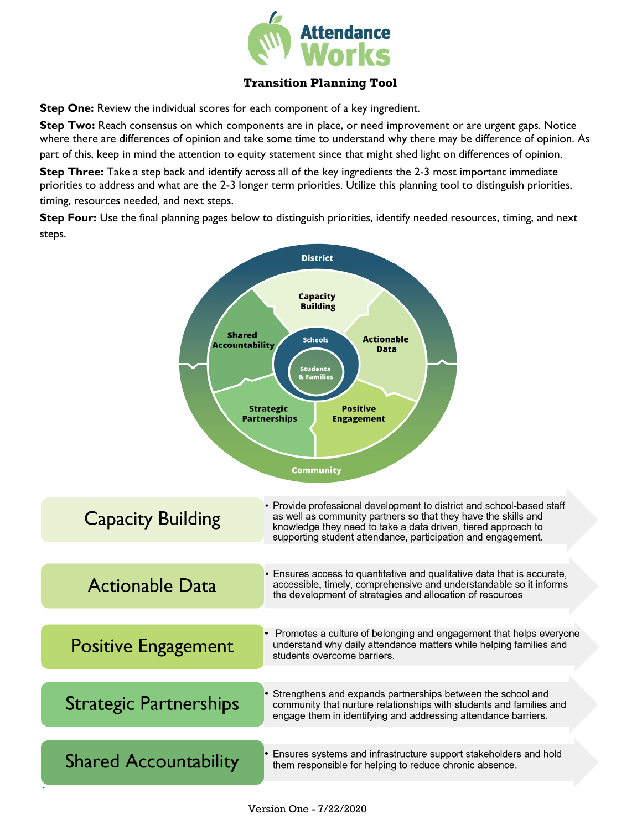

## **Transition Planning Tool**

**Step One:** Review the individual scores for each component of a key ingredient.

**Step Two:** Reach consensus on which components are in place, or need improvement or are urgent gaps. Notice where there are differences of opinion and take some time to understand why there may be difference of opinion. As part of this, keep in mind the attention to equity statement since that might shed light on differences of opinion.

**Step Three:** Take a step back and identify across all of the key ingredients the 2-3 most important immediate priorities to address and what are the 2-3 longer term priorities. Utilize this planning tool to distinguish priorities, timing, resources needed, and next steps.

**Step Four:** Use the final planning pages below to distinguish priorities, identify needed resources, timing, and next steps.

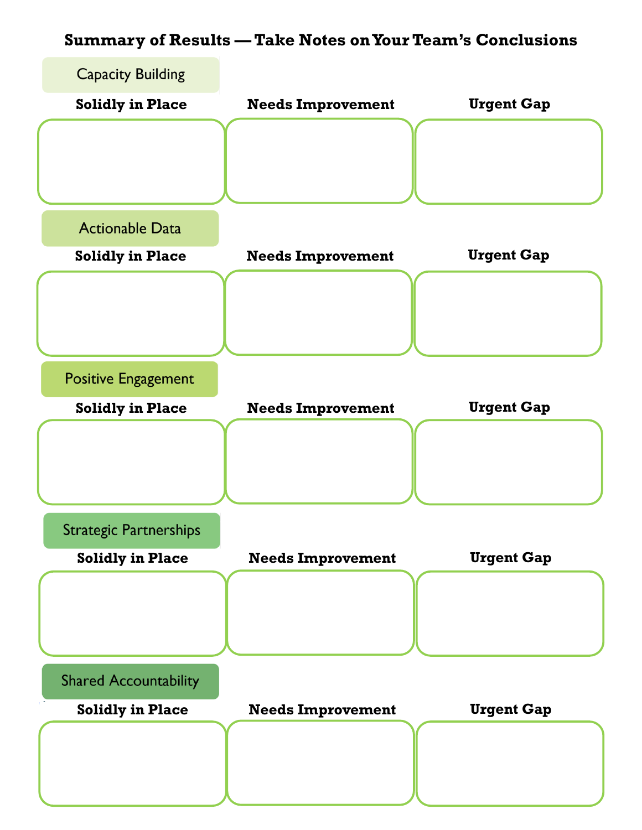## **Summary of Results — Take Notes on Your Team's Conclusions**

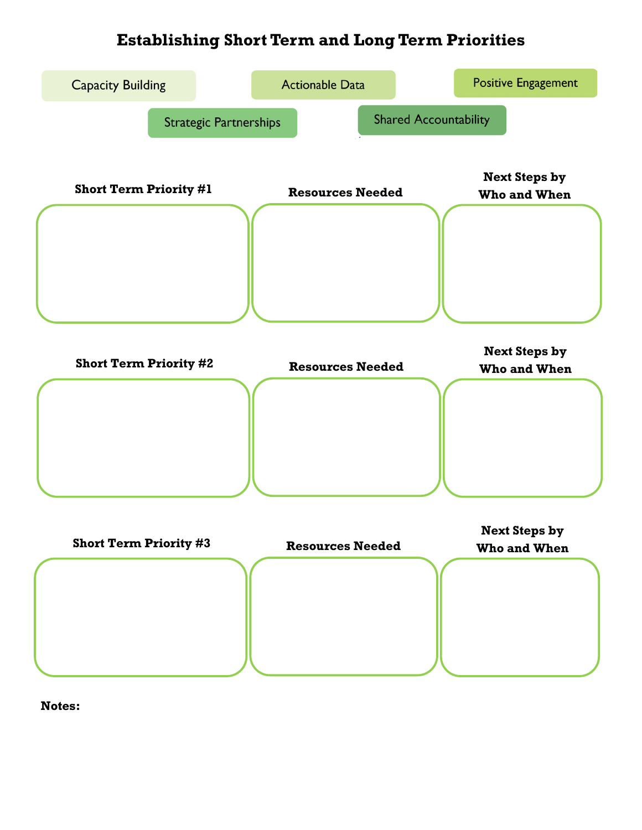## **Establishing Short Term and Long Term Priorities**



**Notes:**